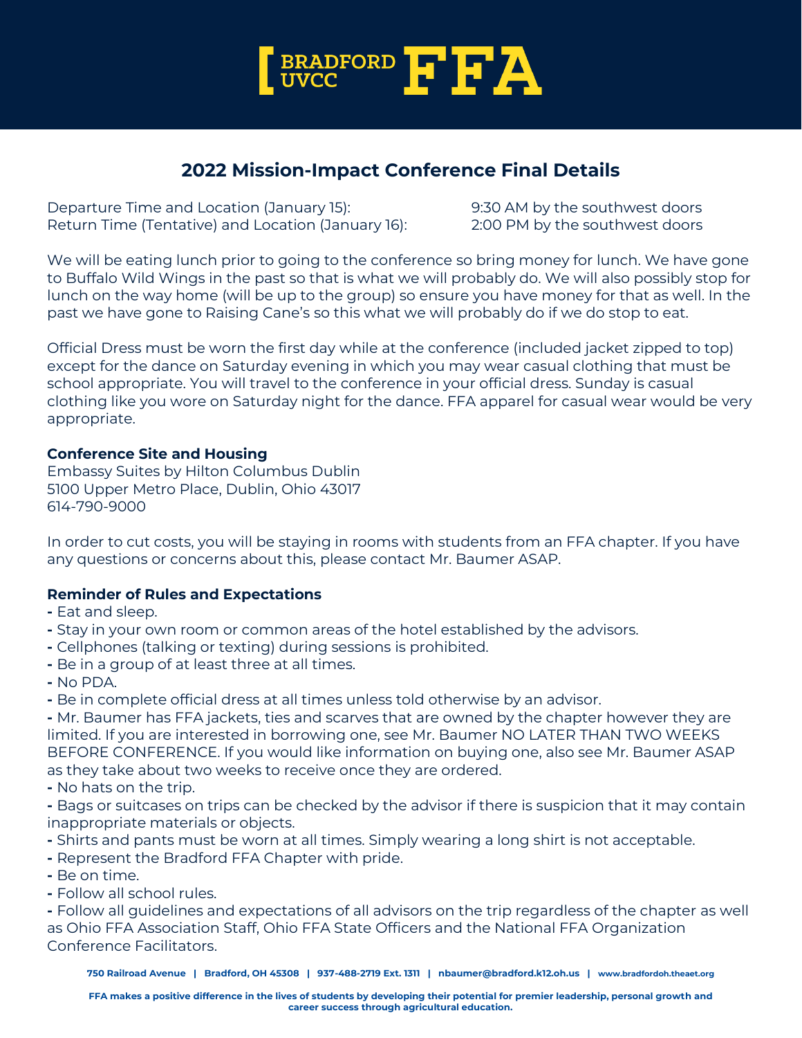

# **2022 Mission-Impact Conference Final Details**

Departure Time and Location (January 15): 9:30 AM by the southwest doors Return Time (Tentative) and Location (January 16): 2:00 PM by the southwest doors

We will be eating lunch prior to going to the conference so bring money for lunch. We have gone to Buffalo Wild Wings in the past so that is what we will probably do. We will also possibly stop for lunch on the way home (will be up to the group) so ensure you have money for that as well. In the past we have gone to Raising Cane's so this what we will probably do if we do stop to eat.

Official Dress must be worn the first day while at the conference (included jacket zipped to top) except for the dance on Saturday evening in which you may wear casual clothing that must be school appropriate. You will travel to the conference in your official dress. Sunday is casual clothing like you wore on Saturday night for the dance. FFA apparel for casual wear would be very appropriate.

## **Conference Site and Housing**

Embassy Suites by Hilton Columbus Dublin 5100 Upper Metro Place, Dublin, Ohio 43017 614-790-9000

In order to cut costs, you will be staying in rooms with students from an FFA chapter. If you have any questions or concerns about this, please contact Mr. Baumer ASAP.

## **Reminder of Rules and Expectations**

- **-** Eat and sleep.
- **-** Stay in your own room or common areas of the hotel established by the advisors.
- **-** Cellphones (talking or texting) during sessions is prohibited.
- **-** Be in a group of at least three at all times.
- **-** No PDA.
- **-** Be in complete official dress at all times unless told otherwise by an advisor.

**-** Mr. Baumer has FFA jackets, ties and scarves that are owned by the chapter however they are limited. If you are interested in borrowing one, see Mr. Baumer NO LATER THAN TWO WEEKS BEFORE CONFERENCE. If you would like information on buying one, also see Mr. Baumer ASAP as they take about two weeks to receive once they are ordered.

- **-** No hats on the trip.
- **-** Bags or suitcases on trips can be checked by the advisor if there is suspicion that it may contain inappropriate materials or objects.
- **-** Shirts and pants must be worn at all times. Simply wearing a long shirt is not acceptable.
- **-** Represent the Bradford FFA Chapter with pride.
- **-** Be on time.
- **-** Follow all school rules.

**-** Follow all guidelines and expectations of all advisors on the trip regardless of the chapter as well as Ohio FFA Association Staff, Ohio FFA State Officers and the National FFA Organization Conference Facilitators.

**750 Railroad Avenue | Bradford, OH 45308 | 937-488-2719 Ext. 1311 | nbaumer@bradford.k12.oh.us | [www.bradfordoh.theaet.org](http://www.bradfordoh.theaet.org/)**